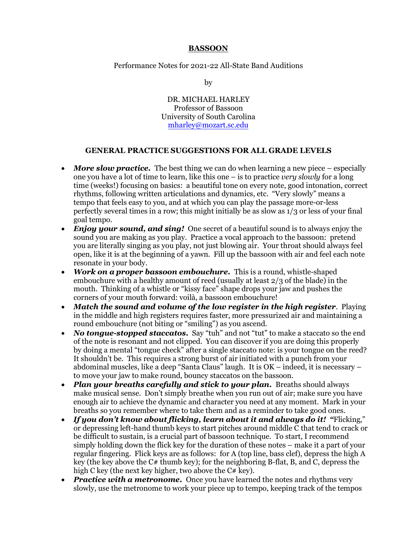#### **BASSOON**

Performance Notes for 2021-22 All-State Band Auditions

by

DR. MICHAEL HARLEY Professor of Bassoon University of South Carolina mharley@mozart.sc.edu

#### **GENERAL PRACTICE SUGGESTIONS FOR ALL GRADE LEVELS**

- *More slow practice.* The best thing we can do when learning a new piece especially one you have a lot of time to learn, like this one – is to practice *very slowly* for a long time (weeks!) focusing on basics: a beautiful tone on every note, good intonation, correct rhythms, following written articulations and dynamics, etc. "Very slowly" means a tempo that feels easy to you, and at which you can play the passage more-or-less perfectly several times in a row; this might initially be as slow as 1/3 or less of your final goal tempo.
- *Enjoy your sound, and sing!* One secret of a beautiful sound is to always enjoy the sound you are making as you play. Practice a vocal approach to the bassoon: pretend you are literally singing as you play, not just blowing air. Your throat should always feel open, like it is at the beginning of a yawn. Fill up the bassoon with air and feel each note resonate in your body.
- *Work on a proper bassoon embouchure.* This is a round, whistle-shaped embouchure with a healthy amount of reed (usually at least 2/3 of the blade) in the mouth. Thinking of a whistle or "kissy face" shape drops your jaw and pushes the corners of your mouth forward: voilà, a bassoon embouchure!
- *Match the sound and volume of the low register in the high register*.Playing in the middle and high registers requires faster, more pressurized air and maintaining a round embouchure (not biting or "smiling") as you ascend.
- *No tonque-stopped staccatos.* Say "tuh" and not "tut" to make a staccato so the end of the note is resonant and not clipped. You can discover if you are doing this properly by doing a mental "tongue check" after a single staccato note: is your tongue on the reed? It shouldn't be. This requires a strong burst of air initiated with a punch from your abdominal muscles, like a deep "Santa Claus" laugh. It is OK – indeed, it is necessary – to move your jaw to make round, bouncy staccatos on the bassoon.
- *Plan your breaths carefully and stick to your plan.* Breaths should always make musical sense. Don't simply breathe when you run out of air; make sure you have enough air to achieve the dynamic and character you need at any moment. Mark in your breaths so you remember where to take them and as a reminder to take good ones.
- *If you don't know about flicking, learn about it and always do it! "*Flicking," or depressing left-hand thumb keys to start pitches around middle C that tend to crack or be difficult to sustain, is a crucial part of bassoon technique. To start, I recommend simply holding down the flick key for the duration of these notes – make it a part of your regular fingering. Flick keys are as follows: for A (top line, bass clef), depress the high A key (the key above the  $C#$  thumb key); for the neighboring B-flat, B, and C, depress the high C key (the next key higher, two above the C# key).
- *Practice with a metronome.* Once you have learned the notes and rhythms very slowly, use the metronome to work your piece up to tempo, keeping track of the tempos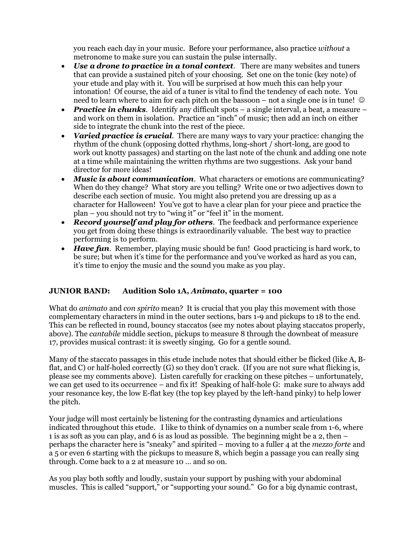you reach each day in your music. Before your performance, also practice *without* a metronome to make sure you can sustain the pulse internally.

- *Use a drone to practice in a tonal context*. There are many websites and tuners that can provide a sustained pitch of your choosing. Set one on the tonic (key note) of your etude and play with it. You will be surprised at how much this can help your intonation! Of course, the aid of a tuner is vital to find the tendency of each note. You need to learn where to aim for each pitch on the bassoon – not a single one is in tune!  $\odot$
- *Practice in chunks.* Identify any difficult spots a single interval, a beat, a measure and work on them in isolation. Practice an "inch" of music; then add an inch on either side to integrate the chunk into the rest of the piece.
- *Varied practice is crucial*. There are many ways to vary your practice: changing the rhythm of the chunk (opposing dotted rhythms, long-short / short-long, are good to work out knotty passages) and starting on the last note of the chunk and adding one note at a time while maintaining the written rhythms are two suggestions. Ask your band director for more ideas!
- *Music is about communication*. What characters or emotions are communicating? When do they change? What story are you telling? Write one or two adjectives down to describe each section of music. You might also pretend you are dressing up as a character for Halloween! You've got to have a clear plan for your piece and practice the plan – you should not try to "wing it" or "feel it" in the moment.
- *Record yourself and play for others*. The feedback and performance experience you get from doing these things is extraordinarily valuable. The best way to practice performing is to perform.
- *Have fun.* Remember, playing music should be fun! Good practicing is hard work, to be sure; but when it's time for the performance and you've worked as hard as you can, it's time to enjoy the music and the sound you make as you play.

# **JUNIOR BAND: Audition Solo 1A,** *Animato***, quarter = 100**

What do *animato* and *con spirito* mean? It is crucial that you play this movement with those complementary characters in mind in the outer sections, bars 1-9 and pickups to 18 to the end. This can be reflected in round, bouncy staccatos (see my notes about playing staccatos properly, above). The *cantabile* middle section, pickups to measure 8 through the downbeat of measure 17, provides musical contrast: it is sweetly singing. Go for a gentle sound.

Many of the staccato passages in this etude include notes that should either be flicked (like A, Bflat, and C) or half-holed correctly (G) so they don't crack. (If you are not sure what flicking is, please see my comments above). Listen carefully for cracking on these pitches – unfortunately, we can get used to its occurrence – and fix it! Speaking of half-hole G: make sure to always add your resonance key, the low E-flat key (the top key played by the left-hand pinky) to help lower the pitch.

Your judge will most certainly be listening for the contrasting dynamics and articulations indicated throughout this etude. I like to think of dynamics on a number scale from 1-6, where 1 is as soft as you can play, and 6 is as loud as possible. The beginning might be a 2, then – perhaps the character here is "sneaky" and spirited – moving to a fuller 4 at the *mezzo forte* and a 5 or even 6 starting with the pickups to measure 8, which begin a passage you can really sing through. Come back to a 2 at measure 10 … and so on.

As you play both softly and loudly, sustain your support by pushing with your abdominal muscles. This is called "support," or "supporting your sound." Go for a big dynamic contrast,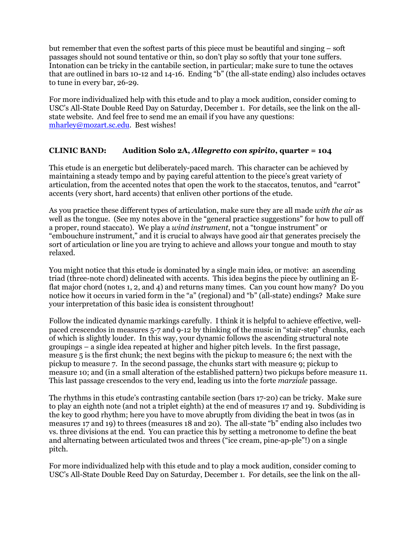but remember that even the softest parts of this piece must be beautiful and singing – soft passages should not sound tentative or thin, so don't play so softly that your tone suffers. Intonation can be tricky in the cantabile section, in particular; make sure to tune the octaves that are outlined in bars 10-12 and 14-16. Ending "b" (the all-state ending) also includes octaves to tune in every bar, 26-29.

For more individualized help with this etude and to play a mock audition, consider coming to USC's All-State Double Reed Day on Saturday, December 1. For details, see the link on the allstate website. And feel free to send me an email if you have any questions: mharley@mozart.sc.edu. Best wishes!

### **CLINIC BAND: Audition Solo 2A,** *Allegretto con spirito***, quarter = 104**

This etude is an energetic but deliberately-paced march. This character can be achieved by maintaining a steady tempo and by paying careful attention to the piece's great variety of articulation, from the accented notes that open the work to the staccatos, tenutos, and "carrot" accents (very short, hard accents) that enliven other portions of the etude.

As you practice these different types of articulation, make sure they are all made *with the air* as well as the tongue. (See my notes above in the "general practice suggestions" for how to pull off a proper, round staccato). We play a *wind instrument*, not a "tongue instrument" or "embouchure instrument," and it is crucial to always have good air that generates precisely the sort of articulation or line you are trying to achieve and allows your tongue and mouth to stay relaxed.

You might notice that this etude is dominated by a single main idea, or motive: an ascending triad (three-note chord) delineated with accents. This idea begins the piece by outlining an Eflat major chord (notes 1, 2, and 4) and returns many times. Can you count how many? Do you notice how it occurs in varied form in the "a" (regional) and "b" (all-state) endings? Make sure your interpretation of this basic idea is consistent throughout!

Follow the indicated dynamic markings carefully. I think it is helpful to achieve effective, wellpaced crescendos in measures 5-7 and 9-12 by thinking of the music in "stair-step" chunks, each of which is slightly louder. In this way, your dynamic follows the ascending structural note groupings – a single idea repeated at higher and higher pitch levels. In the first passage, measure 5 is the first chunk; the next begins with the pickup to measure 6; the next with the pickup to measure 7. In the second passage, the chunks start with measure 9; pickup to measure 10; and (in a small alteration of the established pattern) two pickups before measure 11. This last passage crescendos to the very end, leading us into the forte *marziale* passage.

The rhythms in this etude's contrasting cantabile section (bars 17-20) can be tricky. Make sure to play an eighth note (and not a triplet eighth) at the end of measures 17 and 19. Subdividing is the key to good rhythm; here you have to move abruptly from dividing the beat in twos (as in measures 17 and 19) to threes (measures 18 and 20). The all-state "b" ending also includes two vs. three divisions at the end. You can practice this by setting a metronome to define the beat and alternating between articulated twos and threes ("ice cream, pine-ap-ple"!) on a single pitch.

For more individualized help with this etude and to play a mock audition, consider coming to USC's All-State Double Reed Day on Saturday, December 1. For details, see the link on the all